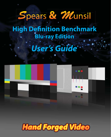# Spears & Munsil

### **High Definition Benchmark Blu-ray Edition**

## *User's Guide*



**Hand Forged Video**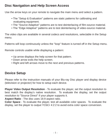#### **Disc Navigation and Help Screen Access**

Use the arrow keys on your remote to navigate the main menu and select a pattern.

- The "Setup & Evaluation" patterns are static patterns for calibrating and evaluating equipment.
- The "Source Adaptive" patterns are to test deinterlacing of film-source material.
- The "Edge Adaptive" patterns are to test deinterlacing of video-source material.

The video clips are available in several codecs and resolutions, selectable in the Setup menu.

Patterns will loop continuously unless the "loop" feature is turned off in the Setup menu.

Remote controls usable while displaying a pattern:

- Up arrow displays the help screen for that pattern.
- Down arrow exits the help screen.
- Right and left arrows move to the next and previous patterns.

#### **Device Setup**

Please refer to the instruction manuals of your Blu-ray Disc player and display device (television or projector) for how to setup each device.

**Player Video Output Resolution** - To evaluate the player, set the output resolution to best match the display's native resolution. To evaluate the display, set the output resolution to "Source Direct" if your player supports it.

**Aspect Ratio** - The disc uses 16:9 aspect ratio.

**Color Space** - To evaluate the player, test all available color spaces. To evaluate the display, set the player to output YCbCr 4:2:2 to avoid extra color space conversion.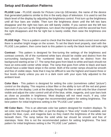#### **Setup and Evaluation Patterns**

**PLUGE Low** - PLUGE stands for Picture Line-Up GEnerator, the name of the device that generated patterns similar to this in the early days of television. It is used to set the black level of the display by adjusting the brightness control. First turn up the brightness until all four bars are visible. Then turn the brightness down until the left two bars disappear and the right two bars are still barely visible. If you cannot see the left two bars even if you turn up the brightness, turn down the brightness until the second bar from the right disappears and the far right bar is barely visible, then raise the brightness one notch.

**PLUGE High** - This is a pattern used to check that the black level looks correct even when there is another bright image on the screen. To set the black level properly, start with the PLUGE Low pattern, then come back to this pattern to verify the black level still looks right.

**Contrast** - This pattern is designed for fine-tuning the settings of the brightness and contrast controls. All of the numbered white bars should be visible and distinct from the surrounding background. The numbered black bars should be distinct from the background starting at bar 17. The ramp that goes from black to white and back should not have an extra-wide center white stripe. The ramp that goes from white to black and back should have a wider black stripe in the center. Both of the center ramps should be smooth and free of visible steps. Note that it may be difficult to see the highest and lowest three or four levels clearly unless you are in a dark room with your eyes fully adjusted to the ambient level.

**Color Bars** - This pattern is designed for setting the color (sometimes called "picture") control on the display. This requires a blue filter or the ability to turn off the red and green channels on the display. Look at the display through the filter or with only the blue channel visible and adjust the color control until all of the blue, white, magenta, and cyan bars look as close as possible in brightness. Most displays will not need much, if any, color adjustment. Note: this is no longer the recommended pattern for setting brightness. The best pattern for initial brightness setting is the "PLUGE Low" pattern.

**HD Color Bars** - This is an alternate color bar pattern designed for modern displays. To set color, look through a blue filter, or put the display in "blue only" mode if available, and adjust the blue, cyan, and magenta bars so they match the brightness of the white bar beneath them. The ramp below the solid white bar should be smooth and free of stairsteps. Note: this is not the recommended pattern for setting brightness. The best pattern for initial brightness setting is the "PLUGE Low" pattern.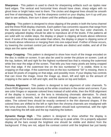**Sharpness** - This pattern is used to check for sharpening artifacts such as ripples near hard edges. The vertical and horizontal lines should have clean, sharp edges with no ghost lines or bright halos next to them. The circles and diagonal lines should be smooth and free of stairstepping. To set the sharpness control on your display, turn it up until you start to see artifacts, then turn it down until the artifacts just disappear.

**Clipping** - This pattern is designed to show clipping of the peaks in both the luma channel and the three RGB display channels. Each pattern has concentric squares that range from the reference level to the peak level for luma (white) and the four color channels. A properly adjusted display should be able to reproduce all of the levels. If the patterns all are solid with no visible steps, the display or player is clipping all levels above reference level. If some of the steps look wider than others, the display or player is clipping some of the levels above reference or merging them into one output level. If either of those occurs, try lowering the contrast control just until all levels are distinct and visible, and all of the steps are the same width.

**Image Cropping** - This pattern is designed to show how much of the image encoded on the disc is visible on screen. It can also be used to center the picture on screen. Look at the top, bottom, left and right for the highest numbered box that is missing the outermost white line near the edge of the screen. That tells you how many pixels are being cropped from that edge. If the outermost line on the box numbered "1" is visible, there is no cropping on that edge. If the outermost line on the box numbered "30" is missing, there is at least 30 pixels of cropping on that edge, and possibly more. If your display has controls that can move the image, move the image up, down, left and right so the amount of cropping is the same on left and right, and the same on top and bottom.

**Chroma Alignment** - This pattern is designed to test alignment of color channels. To check RGB alignment, look closely at the white crosshairs in the center and corners. If you see color fringes or separate colored lines instead of solid white, then the RGB alignment of the display is incorrect, or the lens is introducing chromatic aberration. To check encoded color channels, look at the colored diamond shapes on the top, bottom, and sides. The colored lines should be exactly centered in the thin diamond shapes. If the colored lines are shifted to the left or right then the chroma channels are misaligned with the luma channels. Every element of this pattern should look symmetrical, with the right side matching the left side and the top matching the bottom.

**Dynamic Range High** - This pattern is designed to show whether the display is reproducing all the levels above reference white up to peak white. On a properly adjusted display all the bars except the brightest one should be visible and distinct from the background. If they are not, adjust the contrast control until the brightest bar just barely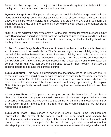fades into the background, or adjust until the second-brightest bar fades into the background, then raise the contrast control one notch.

**Dynamic Range Low** - This pattern allows you to check if all of the range possible in the video signal is being sent to the display. Under normal circumstances, only bars 18 and above should be clearly visible, and possibly just barely bar 17. But if you turn the brightness control up, all of the bars should be visible except possibly the darkest bar at the far left (level 2).

NOTE: Do not adjust the display to show all of the bars, except for testing purposes. Only bars 18 and above should be distinct from the background under normal conditions. Only raise the brightness to check that the lower levels are being sent to the display, then lower the brightness again to the correct level.

**11 Step Crossed Gray Scale** - There are 11 levels from black to white on this chart, and all 11 levels should be clearly visible. The far left and right bars are slightly wider; this is normal. If the borders between the darkest bars aren't visible, raise the brightness control until you can see the difference between them clearly. Then fine-tune the brightness using the "PLUGE Low" pattern. If the borders between the lightest bars aren't visible, lower the contrast control until you can see the difference between them clearly. Then use the clipping pattern to fine-tune the contrast control.

**Luma Multiburst** - This pattern is designed to test the bandwidth of the luma channel. All of the burst patterns should be clear, with the peaks at essentially the same intensity as the stripes on the far left. If the thinnest lines turn gray or are lower in intensity than the rest, then the full resolution of the luma channel is not being reproduced by the display. Note: this is a perfectly normal result for a display that has native resolution lower than 1920x1080.

**Chroma Multiburst** - This pattern is designed to test the bandwidth of the chroma channels. All of the burst patterns should show clear blue and red stripes, with the peaks at essentially the same intensity as the stripes on the far left. If the thinnest lines turn gray or are lower in color intensity than the rest, then the chroma channels are not being reproduced accurately.

**Luma Zone Plate** - This pattern is designed to check overall luma resolution and reproduction. The center of the pattern should be clear, bright, and smooth. No stairstepping should appear on the edges of the concentric circles. The peaks should look rounded and not flat or clipped. On the far left and right side, a small amount of stairstepping is normal, as are faint moiré patterns scattered near the edges, which look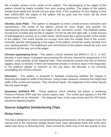like a fainter version of the center of the pattern. The stairstepping at the edges of the pattern should be nearly invisible from your seating position. The edges of the pattern should show detail and should not turn gray. Note: if the resolution of your display is less than 1920x1080, the edges of the pattern will be gray and the moiré will be more pronounced. This is normal.

**Chroma Zone Plate** - This pattern is designed to check overall chroma resolution and reproduction. The center of the pattern should be clear, bright, and smooth. No stairstepping should appear on the edges of the concentric circles. The brightest peaks should look rounded and not flat or clipped. On the far left and right side, a small amount of stairstepping is normal, as is a faint moiré, which looks like a ghost version of the center of the pattern. The moiré should not occupy more than the middle third of the screen, vertically, and the stairstepping at the edges of the pattern should be nearly invisible from your seating position. The brightness and colorfulness of the pattern should be even and consistent all the way out to the edges.

**Chroma Upsampling Error** - This pattern checks whether the MPEG-2, VC-1, or AVC decoder in your player is properly upconverting the chroma channel for progressive 4:2:0 content. Look carefully at the diagonal lines. They should be smooth and free of obvious jaggies, steps, or streaks. If there are horizontal streaks or obvious steps in the diagonals, or the patterns appear to shimmer as the clip plays, the decoder is not correctly upsampling the chroma channel.

**Geometry** - This pattern is designed to facilitate measuring whether the display is distorting the height or width of the picture. Using a tape measure, measure the height and width of the circles and squares. They should be equal. The diagonals in the center should also be equal length.

**Geometry 4x3/16x9 PIP** - These patterns check whether the player is rendering Picture-in-Picture (PIP) with the correct aspect ratio. The circles and squares in the PIP frame should not be distorted. The diagonal lines of the main frame and the PIP frame should be aligned properly.

#### **Source Adaptive Deinterlacing Clips**

#### **Wedge Pattern:**

This clip is designed to check overall deinterlacing performance. As the wedges move, the narrow end of the horizontal wedge should have clear alternating black and white lines rather than blurry or flickering lines. There should be moiré only in the last quarter or less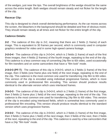of the wedges, just near the tips. The overall brightness of the wedge should be the same across the entire length. Both wedges should remain steady and not flicker for the length of the clip.

#### **Racecar Clip:**

This clip is designed to check overall deinterlacing performance. As the car moves across the screen, the bleachers in the background should be detailed and free of obvious moiré. They should remain steady at all times and not flicker for the entire length of the clip.

#### **Cadence Details:**

**2•2** - The cadence of this clip is 2•2, meaning that there are 2 fields (1 frame) of each image. This is equivalent to 30 frames per second, which is commonly used in computer graphics rendered for video and in some high-speed camera footage.

**2•2•2•4** - The cadence of this clip is 2•2•2•4, which is 2 fields (1 frame) of each of the first three images, then 4 fields (2 frames) of the fourth image, repeating to the end of the clip. This cadence is a less common way of converting 24p film to 60i video, used occasionally for film transfers and on some camcorders that have a "film look" mode.

**2•3•2•3 (PF-T)** - The cadence of this clip is 2•3•2•3, which is 2 fields (1 frame) of the first image, then 3 fields (one frame plus one field) of the next image, repeating to the end of the clip. This cadence is the most common one used for transferring 24p film to 60i video. This version of the clip is encoded using individual progressive frames, which is more commonly used in professional film encoding. This version should produce results identical to the alternate version which uses interlaced frames.

**2•3•2•3** - The cadence of this clip is 2•3•2•3, which is 2 fields (1 frame) of the first image, then 3 fields (1 frame plus 1 field) of the next image, repeating to the end of the clip. This cadence is the most common one used for transferring 24p film to 60i video. This version of the clip is encoded using interlaced fields, which is somewhat less commonly used in professional film encoding. This version should produce results identical to the standard version which uses progressive frames.

**2•3•3•2** - The cadence of this clip is 2•3•3•2, which is 2 fields (1 frame) of the first image, then 3 fields (1 frame plus 1 field) of the next image, then 3 fields of the next, then 2 fields of the next, repeating to the end of the clip. This cadence is used by a few camcorders that have a 24p "film look" mode.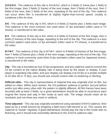**3•2•3•2•2** - The cadence of this clip is 3•2•3•2•2, which is 3 fields (1 frame plus 1 field) of the first image, then 2 fields (1 frame) of the next image, then 3 fields of the next, then 2 fields of the next, then 2 fields of the next, repeating to the end of the clip. This cadence can occur when film is transferred at slightly higher-than-normal speed, usually to condense a film for time.

**5•5** - The cadence of this clip is 5•5, which is 5 fields (2 frames plus 1 field) each image. This cadence is the most common one used when 12 fps animation (often used in TV shows), is transferred to 60i video.

**6•4** - The cadence of this clip is 6•4, which is 6 fields (3 frames) of the first image, then 4 fields (2 frames) of the next image, repeating to the end of the clip. This cadence is a less common pattern used when 12 fps animation (often used in TV shows), is transferred to 60i video.

**8•7•8•7** - The cadence of this clip is 8•7•8•7, which is 8 fields (4 frames) of the first image, then 7 fields (3 frames plus 1 field) of the next image, repeating to the end of the clip. This cadence is most commonly used when 8 fps animation (often used for Japanese anime), is transferred to 60i video.

**24p** - This clip is encoded as true 24 fps progressive, and any cadence used to convert the 24 fps content to the native display rate is being done by the player or display. If your player is outputting 24p video, and your display can display it at 24 fps or a simple multiple of 24 (like 48 or 72 fps), you should see smooth motion with no stuttering or hitching.

**Difficult edits** - This clip is representative of material that was originally shot on film, but edited on video. Within each section, the 2•3 pulldown cadence is perfect, but just before and/or just after every other edit, the pattern is slightly different. All film frames have been encoded with at least 2 fields, so a good deinterlacer should be able to reconstruct each original film frame and stay in film mode at each edit. The image should retain all its resolution and not show any moiré or artifacts.

**Time-adjusted** - This clip was originally transferred using standard 2•3•2•3 cadence, then sped up by a small amount by dropping a field every half-second or so. This causes the cadence to "break" regularly. A good deinterlacer should play the clip in film mode with no flickering, and it should look essentially identical to the 2•3•2•3 cadence clips.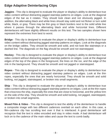#### **Edge Adaptive Deinterlacing Clips**

**Jaggies** - This clip is designed to evaluate the player or display's ability to deinterlace true video content without distracting jagged stairstep patterns on edges. Look at the diagonal edges of the bar as it rotates. They should look clean and not obviously jagged. In addition, the alternating black and white lines should stay solid and not flicker or turn solid white, black, or gray. There may be thin gray or black borders next to the solid white line where it passes through the alternating black and white horizontal lines. Different deinterlacers will have slightly different results on this test. The two samples shown here represent the extremes from best to worst.

**Bridge** - This clip is designed to evaluate the player or display's ability to deinterlace true video content without distracting jagged stairstep patterns on edges. Look at the diagonals on the bridge cables. They should be smooth and solid, and not look like stairsteps or a dashed line. The diagonals on the flag should be smooth and not stairstepped.

**Hockey** - This clip is designed to evaluate the player or display's ability to deinterlace true video content without distracting jagged stairstep patterns on edges. Look at the diagonal edges of the top of the glass in the foreground, the lines on the ice, and the edge of the rink in the background. They should be smooth and not jagged or stairstepped.

**Ropes** - This clip is designed to evaluate the player or display's ability to deinterlace true video content without distracting jagged stairstep patterns on edges. Look at the thin ropes, especially the ones that are nearly horizontal. They should be smooth and solid looking, not jagged, stairstepped, or broken into small segments.

**Ship** - This clip is designed to evaluate the player or display's ability to deinterlace true video content without distracting jagged stairstep patterns on edges. Look at the thin ropes that crisscross the ship, especially the ones that are close to horizontal, and the yellow trim on the side of the ship. They should be smooth and solid looking, not jagged, stairstepped, or broken into small segments.

**Mixed Film & Video** - This clip is designed to test the ability of the deinterlacer to handle a composite image with two different cadences overlaid on each other. In this case, a film-cadence clip has scrolling text over it that is interlaced. A good deinterlacer will recognize that the text is video encoded and stay in video mode. A bad deinterlacer will lock on to the cadence of the main video and cause the text to comb badly.